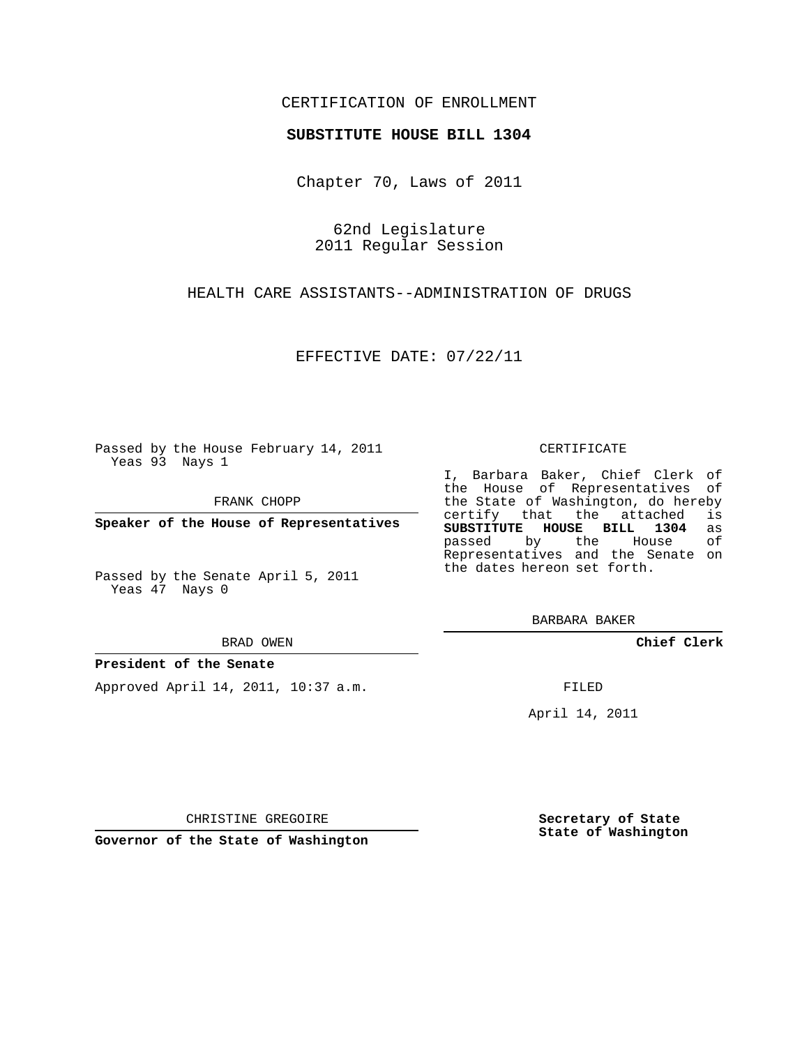## CERTIFICATION OF ENROLLMENT

### **SUBSTITUTE HOUSE BILL 1304**

Chapter 70, Laws of 2011

62nd Legislature 2011 Regular Session

HEALTH CARE ASSISTANTS--ADMINISTRATION OF DRUGS

EFFECTIVE DATE: 07/22/11

Passed by the House February 14, 2011 Yeas 93 Nays 1

FRANK CHOPP

**Speaker of the House of Representatives**

Passed by the Senate April 5, 2011 Yeas 47 Nays 0

BRAD OWEN

### **President of the Senate**

Approved April 14, 2011, 10:37 a.m.

#### CERTIFICATE

I, Barbara Baker, Chief Clerk of the House of Representatives of the State of Washington, do hereby<br>certify that the attached is certify that the attached is<br>SUBSTITUTE HOUSE BILL 1304 as **SUBSTITUTE HOUSE BILL 1304** as passed by the House Representatives and the Senate on the dates hereon set forth.

BARBARA BAKER

**Chief Clerk**

FILED

April 14, 2011

CHRISTINE GREGOIRE

**Governor of the State of Washington**

**Secretary of State State of Washington**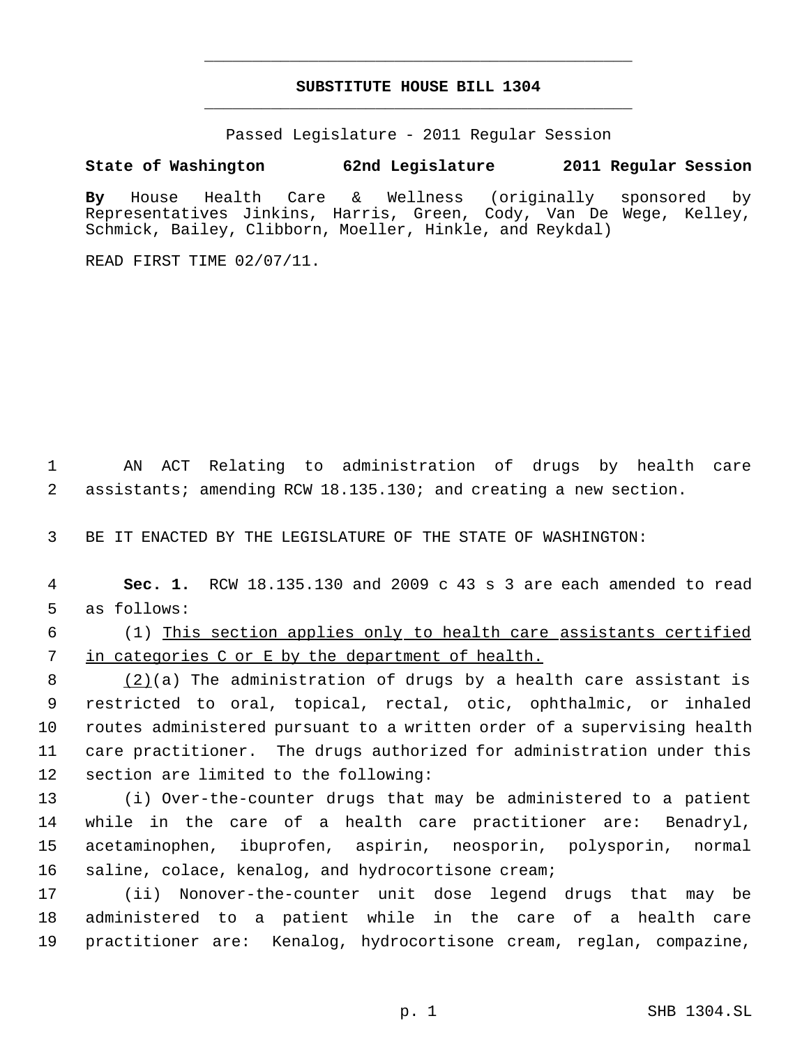# **SUBSTITUTE HOUSE BILL 1304** \_\_\_\_\_\_\_\_\_\_\_\_\_\_\_\_\_\_\_\_\_\_\_\_\_\_\_\_\_\_\_\_\_\_\_\_\_\_\_\_\_\_\_\_\_

\_\_\_\_\_\_\_\_\_\_\_\_\_\_\_\_\_\_\_\_\_\_\_\_\_\_\_\_\_\_\_\_\_\_\_\_\_\_\_\_\_\_\_\_\_

Passed Legislature - 2011 Regular Session

**State of Washington 62nd Legislature 2011 Regular Session**

**By** House Health Care & Wellness (originally sponsored by Representatives Jinkins, Harris, Green, Cody, Van De Wege, Kelley, Schmick, Bailey, Clibborn, Moeller, Hinkle, and Reykdal)

READ FIRST TIME 02/07/11.

 AN ACT Relating to administration of drugs by health care assistants; amending RCW 18.135.130; and creating a new section.

BE IT ENACTED BY THE LEGISLATURE OF THE STATE OF WASHINGTON:

 **Sec. 1.** RCW 18.135.130 and 2009 c 43 s 3 are each amended to read as follows:

 (1) This section applies only to health care assistants certified in categories C or E by the department of health.

 $(2)(a)$  The administration of drugs by a health care assistant is restricted to oral, topical, rectal, otic, ophthalmic, or inhaled routes administered pursuant to a written order of a supervising health care practitioner. The drugs authorized for administration under this section are limited to the following:

 (i) Over-the-counter drugs that may be administered to a patient while in the care of a health care practitioner are: Benadryl, acetaminophen, ibuprofen, aspirin, neosporin, polysporin, normal saline, colace, kenalog, and hydrocortisone cream;

 (ii) Nonover-the-counter unit dose legend drugs that may be administered to a patient while in the care of a health care practitioner are: Kenalog, hydrocortisone cream, reglan, compazine,